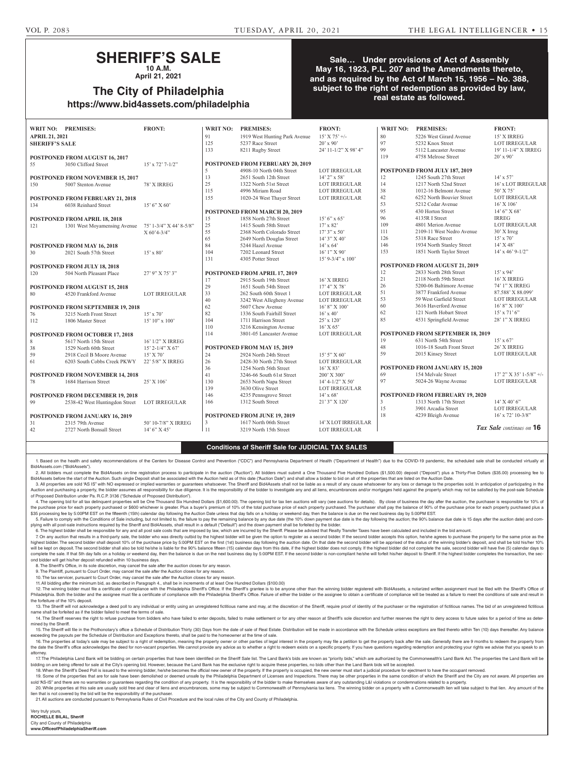# **SHERIFF'S SALE**

**10 A.M. April 21, 2021**

**The City of Philadelphia**

**https://www.bid4assets.com/philadelphia**

## **Sale… Under provisions of Act of Assembly May 16, 1923, P.L. 207 and the Amendments thereto, and as required by the Act of March 15, 1956 – No. 388, subject to the right of redemption as provided by law, real estate as followed.**

|                                          | WRIT NO: PREMISES:               | <b>FRONT:</b>           | <b>WRIT NO:</b> | <b>PREMISES:</b>                        | <b>FRONT:</b>         | <b>WRIT NO:</b>                | <b>PREMISES:</b>                       | <b>FRONT:</b>             |  |
|------------------------------------------|----------------------------------|-------------------------|-----------------|-----------------------------------------|-----------------------|--------------------------------|----------------------------------------|---------------------------|--|
| <b>APRIL 21, 2021</b>                    |                                  |                         | 91              | 1919 West Hunting Park Avenue           | $15'$ X 75' +/-       | 80                             | 5226 West Girard Avenue                | 15' X IRREG               |  |
| <b>SHERIFF'S SALE</b>                    |                                  |                         | 125             | 5237 Race Street                        | $20'$ x $90'$         | 97                             | 5232 Knox Street                       | <b>LOT IRREGULAR</b>      |  |
|                                          |                                  |                         | 133             | 8211 Rugby Street                       | 24' 11-1/2" X 98' 4"  | 99                             | 5112 Lancaster Avenue                  | 19' 11-1/4" X IRREG       |  |
|                                          | POSTPONED FROM AUGUST 16, 2017   |                         |                 |                                         |                       | 119                            | 4758 Melrose Street                    | $20'$ x 90'               |  |
| 55                                       | 3050 Clifford Street             | $15'$ x $72'$ $7-1/2"$  |                 | <b>POSTPONED FROM FEBRUARY 20, 2019</b> |                       |                                |                                        |                           |  |
|                                          |                                  |                         | 5               | 4908-10 North 04th Street               | <b>LOT IRREGULAR</b>  |                                | POSTPONED FROM JULY 187, 2019          |                           |  |
|                                          | POSTPONED FROM NOVEMBER 15, 2017 |                         | 13              | 2651 South 12th Street                  | $14'$ 2" x 58'        | 12                             | 1245 South 27th Street                 | $14' \times 57'$          |  |
| 150                                      | 5007 Stenton Avenue              | 78' X IRREG             | 25              | 1322 North 51st Street                  | <b>LOT IRREGULAR</b>  | 14                             | 1217 North 52nd Street                 | 16' x LOT IRREGULAR       |  |
|                                          |                                  |                         | 115             | 4996 Miriam Road                        | <b>LOT IRREGULAR</b>  | 38                             | 1012-16 Belmont Avenue                 | $50'$ X 75'               |  |
|                                          | POSTPONED FROM FEBRUARY 21, 2018 |                         | 155             | 1020-24 West Thayer Street              | <b>LOT IRREGULAR</b>  | 42                             | 6252 North Bouvier Street              | <b>LOT IRREGULAR</b>      |  |
| 134                                      | 6038 Reinhard Street             | $15'6''$ X 60'          |                 |                                         |                       | 53                             | 5212 Cedar Avenue                      | $16'$ X $106'$            |  |
|                                          |                                  |                         |                 | POSTPONED FROM MARCH 20, 2019           |                       | 95                             | 430 Horton Street                      | $14'6''$ X 68'            |  |
|                                          | POSTPONED FROM APRIL 18, 2018    |                         | 15              | 1858 North 27th Street                  | $15'6''$ x 65'        | 96                             | 4135R I Street                         | <b>IRREG</b>              |  |
| 121                                      | 1301 West Moyamensing Avenue     | 75' 1-3/4" X 44' 8-5/8" | 25              | 1415 South 58th Street                  | $17' \times 82'$      | 109                            | 4801 Merion Avenue                     | <b>LOT IRREGULAR</b>      |  |
|                                          |                                  | $X 60'4-3/4"$           | 55              | 2368 North Colorado Street              | $17'3''$ x 50'        | 111                            | 2109-11 West Nedro Avenue              | $30'$ X Irreg             |  |
|                                          |                                  |                         | 65              | 2649 North Douglas Street               | $14'3''$ X 40'        | 126                            | 5318 Race Street                       | $15' \times 70'$          |  |
|                                          | POSTPONED FROM MAY 16, 2018      |                         | 84              | 5244 Hazel Avenue                       | $14' \times 64'$      | 146                            | 1934 North Stanley Street              | $14'$ X 48'               |  |
| 30                                       | 2021 South 57th Street           | $15' \times 80'$        | 104             | 7202 Leonard Street                     | $16'1''$ X 90'        | 153                            | 1851 North Taylor Street               | $14'$ x 46' 9-1/2"        |  |
|                                          |                                  |                         | 131             | 4305 Potter Street                      | $15'$ 9-3/4" x 100"   |                                |                                        |                           |  |
| <b>POSTPONED FROM JULY 18, 2018</b>      |                                  |                         |                 |                                         |                       | POSTPONED FROM AUGUST 21, 2019 |                                        |                           |  |
| 120                                      | 504 North Pleasant Place         | $27'9''$ X 75' 3"       |                 | POSTPONED FROM APRIL 17, 2019           |                       | 12                             | 2833 North 28th Street                 | $15'$ x 94'               |  |
|                                          |                                  |                         | 17              | 2915 South 19th Street                  | 16' X IRREG           | 21                             | 2118 North 59th Street                 | 16' X IRREG               |  |
|                                          | POSTPONED FROM AUGUST 15, 2018   |                         | 29              | 1651 South 54th Street                  | 17' 4'' X 78'         | 26                             | 5200-06 Baltimore Avenue               | 74' 1" X IRREG            |  |
| 80                                       | 4520 Frankford Avenue            | <b>LOT IRREGULAR</b>    | 33              | 262 South 60th Street 1                 | <b>LOT IRREGULAR</b>  | 51                             | 3877 Frankford Avenue                  | 87.588' X 88.099'         |  |
|                                          |                                  |                         | 40              | 3242 West Allegheny Avenue              | <b>LOT IRREGULAR</b>  | 53                             | 59 West Garfield Street                | <b>LOT IRREGULAR</b>      |  |
| <b>POSTPONED FROM SEPTEMBER 19, 2018</b> |                                  |                         | 62              | 5607 Chew Avenue                        | 16' 8" X 100'         | 60                             | 3616 Haverford Avenue                  | $16'8''$ X $100'$         |  |
| 76                                       | 3215 North Front Street          | $15' \times 70'$        | 82              | 1336 South Fairhill Street              | $16'$ x 40'           | 62                             | 121 North Hobart Street                | $15'$ x 71' 6"            |  |
| 112                                      | 1806 Master Street               | $15'10''$ x 100'        | 104             | 1711 Harrison Street                    | $25'$ x $120'$        | 85                             | 4531 Springfield Avenue                | 28' 1" X IRREG            |  |
|                                          |                                  |                         | 110             | 3216 Kensington Avenue                  | $16'$ X 65'           |                                |                                        |                           |  |
|                                          | POSTPONED FROM OCTOBER 17, 2018  |                         | 114             | 3801-05 Lancaster Avenue                | <b>LOT IRREGULAR</b>  |                                | POSTPONED FROM SEPTEMBER 18, 2019      |                           |  |
| 8                                        | 5617 North 15th Street           | 16' 1/2" X IRREG        |                 |                                         |                       | 19                             | 631 North 54th Street                  | $15' \times 67'$          |  |
| 38                                       | 1529 North 60th Street           | $15'$ 2-1/4" X 67"      |                 | POSTPONED FROM MAY 15, 2019             |                       | 48                             | 1016-18 South Front Street             | 26' X IRREG               |  |
| 59                                       | 2918 Cecil B Moore Avenue        | $15'$ X 70'             | 24              | 2924 North 24th Street                  | $15'$ 5" X 60"        | 59                             | 2015 Kinsey Street                     | <b>LOT IRREGULAR</b>      |  |
| 61                                       | 6203 South Cobbs Creek PKWY      | 22' 5/8" X IRREG        | 26              | 2428-30 North 27th Street               | <b>LOT IRREGULAR</b>  |                                |                                        |                           |  |
|                                          |                                  |                         | 36              | 1254 North 56th Street                  | $16'$ X 83'           |                                | <b>POSTPONED FROM JANUARY 15, 2020</b> |                           |  |
| <b>POSTPONED FROM NOVEMBER 14, 2018</b>  |                                  |                         | 41              | 3246-66 South 61st Street               | 200' X 300'           | 69                             | 154 Melvale Street                     | $17'$ 2" X 35' 1-5/8" +/- |  |
| 78                                       | 1684 Harrison Street             | $25'$ X $106'$          | 130             | 2653 North Napa Street                  | $14' 4 - 1/2'' X 50'$ | 97                             | 5024-26 Wayne Avenue                   | <b>LOT IRREGULAR</b>      |  |
|                                          |                                  |                         | 139             | 3630 Olive Street                       | <b>LOT IRREGULAR</b>  |                                |                                        |                           |  |
| POSTPONED FROM DECEMBER 19, 2018         |                                  |                         | 146             | 4235 Pennsgrove Street                  | $14' \times 68'$      |                                | POSTPONED FROM FEBRUARY 19, 2020       |                           |  |
| 99                                       | 2538-42 West Huntingdon Street   | <b>LOT IRREGULAR</b>    | 166             | 1312 South Street                       | $21'3''$ X $120'$     | $\overline{3}$                 | 1313 North 17th Street                 | $14'$ X 40' 6"            |  |
|                                          |                                  |                         |                 |                                         |                       | 15                             | 3901 Arcadia Street                    | <b>LOT IRREGULAR</b>      |  |
| POSTPONED FROM JANUARY 16, 2019          |                                  |                         |                 | <b>POSTPONED FROM JUNE 19, 2019</b>     |                       | 18                             | 4239 Bleigh Avenue                     | $16'$ x 72' 10-3/8"       |  |
| 31                                       | 2315 79th Avenue                 | 50' 10-7/8" X IRREG     | 3               | 1617 North 06th Street                  | 14' X LOT IRREGULAR   |                                |                                        |                           |  |
| $42\,$                                   | 2727 North Bonsall Street        | $14'6''$ X 45'          | $\vert$ 11      | 3219 North 15th Street                  | <b>LOT IRREGULAR</b>  |                                |                                        | Tax Sale continues on 16  |  |
|                                          |                                  |                         |                 |                                         |                       |                                |                                        |                           |  |

### **Conditions of Sheriff Sale for JUDICIAL TAX SALES**

1. Based on the health and safety recommendations of the Centers for Disease Control and Prevention ("CDC") and Pennsylvania Department of Health ("Department of Health") due to the COVID-19 pandemic, the scheduled sale sh Bid4Assets.com ("Bid4Assets").

2. All bidders must complete the Bid4Assets on-line registration process to participate in the auction ("Auction"). All bidders must submit a One Thousand Five Hundred Dollars (\$1,500.00) deposit") plus a Thirty-Five Dolla Bid4Assets before the start of the Auction. Such single Deposit shall be associated with the Auction held as of this date ("Auction Date") and shall allow a bidder to bid on all of the properties that are listed on the Auc

3. All properties are sold "AS IS" with NO expressed or implied warranties or guarantees whatsoever. The Sheriff and Bid4Assets shall not be liable as a result of any cause whatsoever for any loss or damage to the properti Auction and purchasing a property, the bidder assumes all responsibility for due diligence. It is the responsibility of the bidder to investigate any and all liens, encumbrances and/or mortgages held against the property w of Proposed Distribution under Pa. R.C.P. 3136 ("Schedule of Proposed Distribution").

4. The opening bid for all tax delinguent properties will be One Thousand Six Hundred Dollars (\$1,600.00). The opening bid for tax lien auctions will vary (see auctions for details). By close of business the day after the the purchase price for each property purchased or \$600 whichever is greater. Plus a buyer's premium of 10% of the total purchase price of each property purchased. The purchaser shall pay the balance of 90% of the purchase \$35 processing fee by 5:00PM EST on the fifteenth (15th) calendar day following the Auction Date unless that day falls on a holiday or weekend day, then the balance is due on the next business day by 5:00PM EST.

5. Failure to comply with the Conditions of Sale including, but not limited to, the failure to pay the remaining balance by any due date (the 10% down payment due date is the day following the auction; the 90% balance due plying with all post-sale instructions required by the Sheriff and Bid4Assets, shall result in a default ("Default") and the down payment shall be forfeited by the bidder.

6. The highest bidder shall be responsible for any and all post sale costs that are imposed by law, which are incurred by the Sheriff. Please be advised that Realty Transfer Taxes have been calculated and included in the b

7. On any auction that results in a third-party sale, the bidder who was directly outbid by the highest bidder will be given the option to register as a second bidder. If the second bidder accepts this option, he/she agree highest bidder. The second bidder shall deposit 10% of the purchase price by 5:00PM EST on the first (1st) business day following the auction date. On that date the second bidder will be apprised of the status of the winni will be kept on deposit. The second bidder shall also be told he/she is liable for the 90% balance fifteen (15) calendar days from this date, if the highest bidder does not comply. If the highest bidder did not complete th complete the sale. If that 5th day falls on a holiday or weekend day, then the balance is due on the next business day by 5:00PM EST. If the second bidder is non-compliant he/she will forfeit his/her deposit to Sheriff. If ond bidder will get his/her deposit refunded within 10 business days.

8. The Sheriff's Office, in its sole discretion, may cancel the sale after the auction closes for any reason.

9. The Plaintiff, pursuant to Court Order, may cancel the sale after the Auction closes for any reason. 10. The tax servicer, pursuant to Court Order, may cancel the sale after the Auction closes for any reason.

11. All bidding after the minimum bid, as described in Paragraph 4., shall be in increments of at least One Hundred Dollars (\$100.00)

12. The winning bidder must file a certificate of compliance with the Philadelphia Sheriff's Office. If the Sheriff's office si to be anyone other than the winning bidder registered with Bid4Assets, a notarized written ass

Philadelphia. Both the bidder and the assignee must file a certificate of compliance with the Philadelphia Sheriff's Office. Failure of either the bidder or the assignee to obtain a certificate of compliance will be treate the forfeiture of the 10% deposit.

13. The Sheriff will not acknowledge a deed poll to any individual or entity using an unregistered fictitious name and may, at the discretion of the Sheriff, require proof of identity of the purchaser or the registration o name shall be forfeited as if the bidder failed to meet the terms of sale.

14. The Sheriff reserves the right to refuse purchase from bidders who have failed to enter deposits, failed to make settlement or for any other reason at Sheriff's sole discretion and further reserves the right to deny ac mined by the Sheriff.

15. The Sheriff will file in the Prothonotary's office a Schedule of Distribution Thirty (30) Days from the date of sale of Real Estate. Distribution will be made in accordance with the Schedule unless exceptions are filed exceeding the payouts per the Schedule of Distribution and Exceptions thereto, shall be paid to the homeowner at the time of sale.

16. The properties at today's sale may be subject to a right of redemption, meaning the property owner or other parties of legal interest in the property may file a petition to get the property back after the sale. General the date the Sheriff's office acknowledges the deed for non-vacant properties. We cannot provide any advice as to whether a right to redeem exists on a specific property. If you have questions regarding redemption and prot attorney 17. The Philadelphia Land Bank will be bidding on certain properties that have been identified on the Sheriff Sale list. The Land Bank's bids are known as "priority bids," which are authorized by the Commonwealth's Land Ba

bidding on are being offered for sale at the City's opening bid. However, because the Land Bank has the exclusive right to acquire these properties, no bids other than the Land Bank bids will be accepted. 18. When the Sheriff's Deed Poll is issued to the winning bidder, he/she becomes the official new owner of the property. If the property is occupied, the new owner must start a judicial procedure for ejectment to have the

19. Some of the properties that are for sale have been demolished or deemed unsafe by the Philadelphia Department of Licenses and Inspections. There may be other properties in the same condition of which the Sheriff and th sold "AS-IS" and there are no warranties or guarantees regarding the condition of any property. It is the responsibility of the bidder to make themselves aware of any outstanding L&I violations or condemnations related to 20. While properties at this sale are usually sold free and clear of liens and encumbrances, some may be subject to Commonwealth of Pennsylvania tax liens. The winning bidder on a property with a Commonwealth lien will tak

lien that is not covered by the bid will be the responsibility of the purchaser.

21. All auctions are conducted pursuant to Pennsylvania Rules of Civil Procedure and the local rules of the City and County of Philadelphia.

Very truly yours, **ROCHELLE BILAL, Sheriff** City and County of Philadelphia